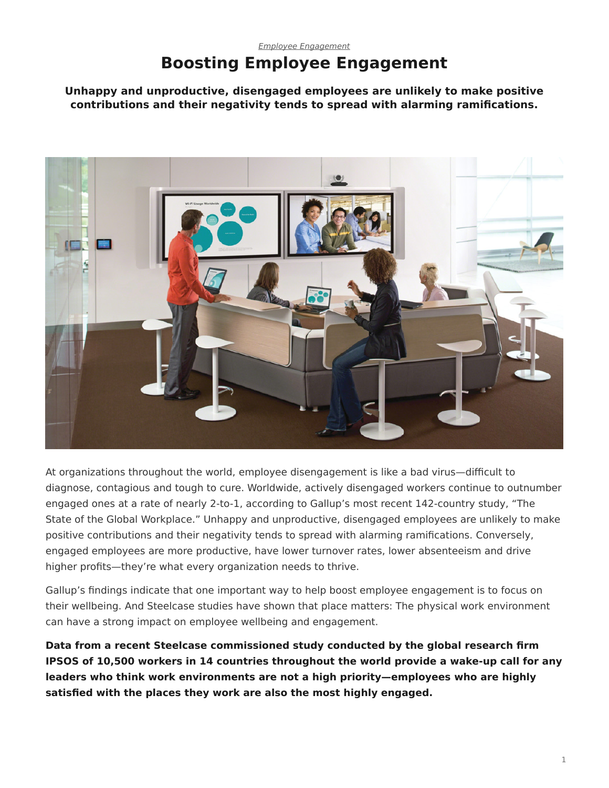## *[Employee Engagement](https://www.steelcase.com/asia-en/research/topics/employee-engagement/)* **Boosting Employee Engagement**

**Unhappy and unproductive, disengaged employees are unlikely to make positive contributions and their negativity tends to spread with alarming ramifications.**



At organizations throughout the world, employee disengagement is like a bad virus—difficult to diagnose, contagious and tough to cure. Worldwide, actively disengaged workers continue to outnumber engaged ones at a rate of nearly 2-to-1, according to Gallup's most recent 142-country study, "The State of the Global Workplace." Unhappy and unproductive, disengaged employees are unlikely to make positive contributions and their negativity tends to spread with alarming ramifications. Conversely, engaged employees are more productive, have lower turnover rates, lower absenteeism and drive higher profits—they're what every organization needs to thrive.

Gallup's findings indicate that one important way to help boost employee engagement is to focus on their wellbeing. And Steelcase studies have shown that place matters: The physical work environment can have a strong impact on employee wellbeing and engagement.

**Data from a recent Steelcase commissioned study conducted by the global research firm IPSOS of 10,500 workers in 14 countries throughout the world provide a wake-up call for any leaders who think work environments are not a high priority—employees who are highly satisfied with the places they work are also the most highly engaged.**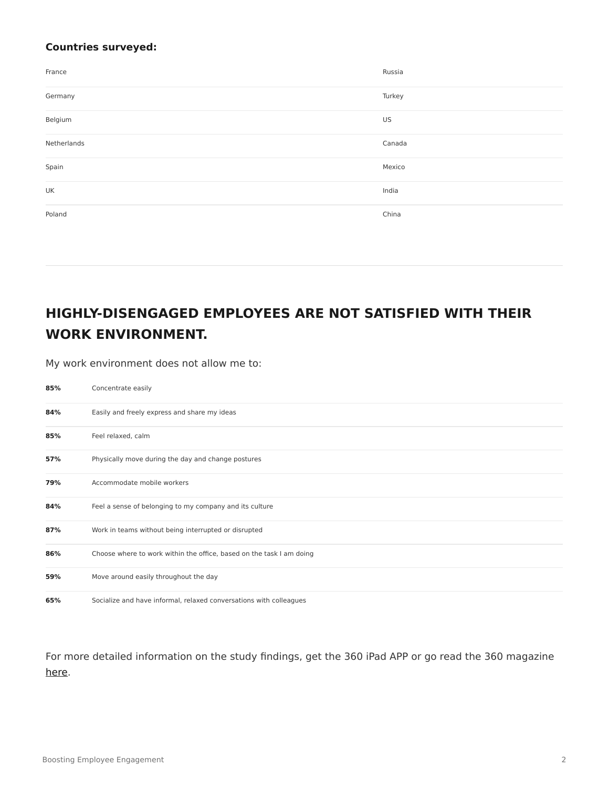## **Countries surveyed:**

| France      | Russia |
|-------------|--------|
| Germany     | Turkey |
| Belgium     | US     |
| Netherlands | Canada |
| Spain       | Mexico |
| UK          | India  |
| Poland      | China  |

## **HIGHLY-DISENGAGED EMPLOYEES ARE NOT SATISFIED WITH THEIR WORK ENVIRONMENT.**

My work environment does not allow me to:

| 85% | Concentrate easily                                                   |
|-----|----------------------------------------------------------------------|
| 84% | Easily and freely express and share my ideas                         |
| 85% | Feel relaxed, calm                                                   |
| 57% | Physically move during the day and change postures                   |
| 79% | Accommodate mobile workers                                           |
| 84% | Feel a sense of belonging to my company and its culture              |
| 87% | Work in teams without being interrupted or disrupted                 |
| 86% | Choose where to work within the office, based on the task I am doing |
| 59% | Move around easily throughout the day                                |
| 65% | Socialize and have informal, relaxed conversations with colleagues   |

For more detailed information on the study findings, get the 360 iPad APP or go read the 360 magazine [here](https://www.steelcase.com/asia-en/insights/360-magazine/the-privacy-crisis-issue-68/).